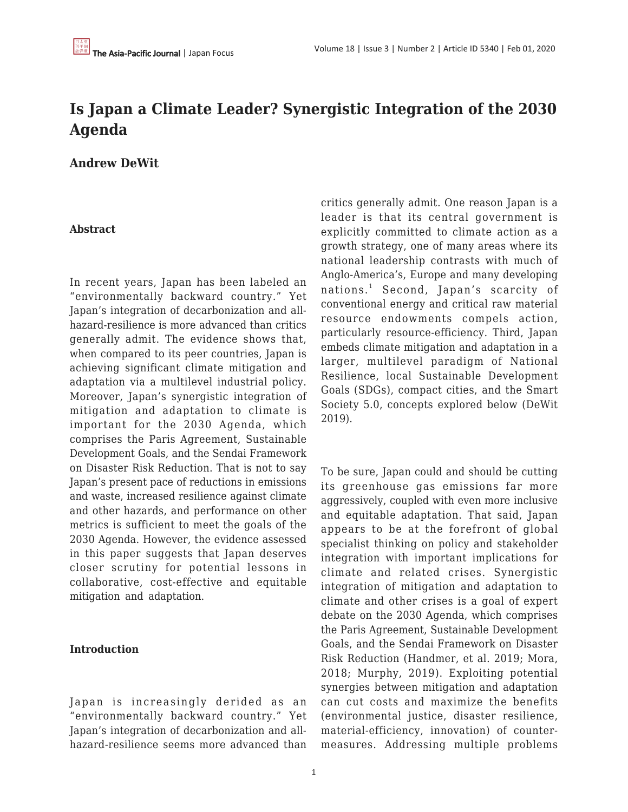# **Is Japan a Climate Leader? Synergistic Integration of the 2030 Agenda**

**Andrew DeWit**

#### **Abstract**

In recent years, Japan has been labeled an "environmentally backward country." Yet Japan's integration of decarbonization and allhazard-resilience is more advanced than critics generally admit. The evidence shows that, when compared to its peer countries, Japan is achieving significant climate mitigation and adaptation via a multilevel industrial policy. Moreover, Japan's synergistic integration of mitigation and adaptation to climate is important for the 2030 Agenda, which comprises the Paris Agreement, Sustainable Development Goals, and the Sendai Framework on Disaster Risk Reduction. That is not to say Japan's present pace of reductions in emissions and waste, increased resilience against climate and other hazards, and performance on other metrics is sufficient to meet the goals of the 2030 Agenda. However, the evidence assessed in this paper suggests that Japan deserves closer scrutiny for potential lessons in collaborative, cost-effective and equitable mitigation and adaptation.

# **Introduction**

Japan is increasingly derided as an "environmentally backward country." Yet Japan's integration of decarbonization and allhazard-resilience seems more advanced than critics generally admit. One reason Japan is a leader is that its central government is explicitly committed to climate action as a growth strategy, one of many areas where its national leadership contrasts with much of Anglo-America's, Europe and many developing nations.<sup>1</sup> Second, Japan's scarcity of conventional energy and critical raw material resource endowments compels action, particularly resource-efficiency. Third, Japan embeds climate mitigation and adaptation in a larger, multilevel paradigm of National Resilience, local Sustainable Development Goals (SDGs), compact cities, and the Smart Society 5.0, concepts explored below (DeWit 2019).

To be sure, Japan could and should be cutting its greenhouse gas emissions far more aggressively, coupled with even more inclusive and equitable adaptation. That said, Japan appears to be at the forefront of global specialist thinking on policy and stakeholder integration with important implications for climate and related crises. Synergistic integration of mitigation and adaptation to climate and other crises is a goal of expert debate on the 2030 Agenda, which comprises the Paris Agreement, Sustainable Development Goals, and the Sendai Framework on Disaster Risk Reduction (Handmer, et al. 2019; Mora, 2018; Murphy, 2019). Exploiting potential synergies between mitigation and adaptation can cut costs and maximize the benefits (environmental justice, disaster resilience, material-efficiency, innovation) of countermeasures. Addressing multiple problems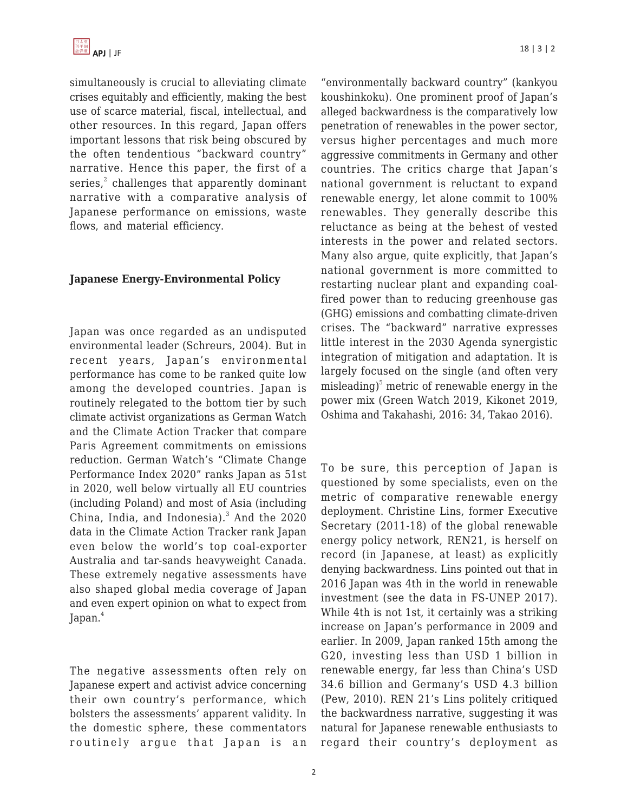simultaneously is crucial to alleviating climate crises equitably and efficiently, making the best use of scarce material, fiscal, intellectual, and other resources. In this regard, Japan offers important lessons that risk being obscured by the often tendentious "backward country" narrative. Hence this paper, the first of a series, $^2$  challenges that apparently dominant narrative with a comparative analysis of Japanese performance on emissions, waste flows, and material efficiency.

#### **Japanese Energy-Environmental Policy**

Japan was once regarded as an undisputed environmental leader (Schreurs, 2004). But in recent years, Japan's environmental performance has come to be ranked quite low among the developed countries. Japan is routinely relegated to the bottom tier by such climate activist organizations as German Watch and the Climate Action Tracker that compare Paris Agreement commitments on emissions reduction. German Watch's "Climate Change Performance Index 2020" ranks Japan as 51st in 2020, well below virtually all EU countries (including Poland) and most of Asia (including China, India, and Indonesia).<sup>3</sup> And the 2020 data in the Climate Action Tracker rank Japan even below the world's top coal-exporter Australia and tar-sands heavyweight Canada. These extremely negative assessments have also shaped global media coverage of Japan and even expert opinion on what to expect from Japan.<sup>4</sup>

The negative assessments often rely on Japanese expert and activist advice concerning their own country's performance, which bolsters the assessments' apparent validity. In the domestic sphere, these commentators routinely argue that Japan is an

"environmentally backward country" (kankyou koushinkoku). One prominent proof of Japan's alleged backwardness is the comparatively low penetration of renewables in the power sector, versus higher percentages and much more aggressive commitments in Germany and other countries. The critics charge that Japan's national government is reluctant to expand renewable energy, let alone commit to 100% renewables. They generally describe this reluctance as being at the behest of vested interests in the power and related sectors. Many also argue, quite explicitly, that Japan's national government is more committed to restarting nuclear plant and expanding coalfired power than to reducing greenhouse gas (GHG) emissions and combatting climate-driven crises. The "backward" narrative expresses little interest in the 2030 Agenda synergistic integration of mitigation and adaptation. It is largely focused on the single (and often very misleading) 5 metric of renewable energy in the power mix (Green Watch 2019, Kikonet 2019, Oshima and Takahashi, 2016: 34, Takao 2016).

To be sure, this perception of Japan is questioned by some specialists, even on the metric of comparative renewable energy deployment. Christine Lins, former Executive Secretary (2011-18) of the global renewable energy policy network, REN21, is herself on record (in Japanese, at least) as explicitly denying backwardness. Lins pointed out that in 2016 Japan was 4th in the world in renewable investment (see the data in FS-UNEP 2017). While 4th is not 1st, it certainly was a striking increase on Japan's performance in 2009 and earlier. In 2009, Japan ranked 15th among the G20, investing less than USD 1 billion in renewable energy, far less than China's USD 34.6 billion and Germany's USD 4.3 billion (Pew, 2010). REN 21's Lins politely critiqued the backwardness narrative, suggesting it was natural for Japanese renewable enthusiasts to regard their country's deployment as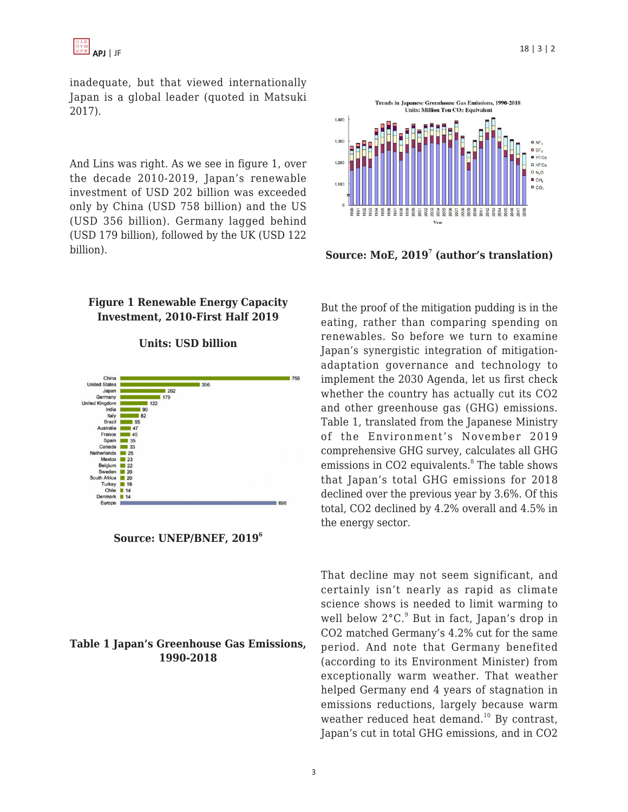inadequate, but that viewed internationally Japan is a global leader (quoted in Matsuki 2017).

And Lins was right. As we see in figure 1, over the decade 2010-2019, Japan's renewable investment of USD 202 billion was exceeded only by China (USD 758 billion) and the US (USD 356 billion). Germany lagged behind (USD 179 billion), followed by the UK (USD 122 billion).

# **Figure 1 Renewable Energy Capacity Investment, 2010-First Half 2019**

#### **Units: USD billion**





#### **Table 1 Japan's Greenhouse Gas Emissions, 1990-2018**



**Source: MoE, 2019<sup>7</sup> (author's translation)**

But the proof of the mitigation pudding is in the eating, rather than comparing spending on renewables. So before we turn to examine Japan's synergistic integration of mitigationadaptation governance and technology to implement the 2030 Agenda, let us first check whether the country has actually cut its CO2 and other greenhouse gas (GHG) emissions. Table 1, translated from the Japanese Ministry of the Environment's November 2019 comprehensive GHG survey, calculates all GHG emissions in CO2 equivalents.<sup>8</sup> The table shows that Japan's total GHG emissions for 2018 declined over the previous year by 3.6%. Of this total, CO2 declined by 4.2% overall and 4.5% in the energy sector.

That decline may not seem significant, and certainly isn't nearly as rapid as climate science shows is needed to limit warming to well below 2°C.<sup>9</sup> But in fact, Japan's drop in CO2 matched Germany's 4.2% cut for the same period. And note that Germany benefited (according to its Environment Minister) from exceptionally warm weather. That weather helped Germany end 4 years of stagnation in emissions reductions, largely because warm weather reduced heat demand.<sup>10</sup> By contrast, Japan's cut in total GHG emissions, and in CO2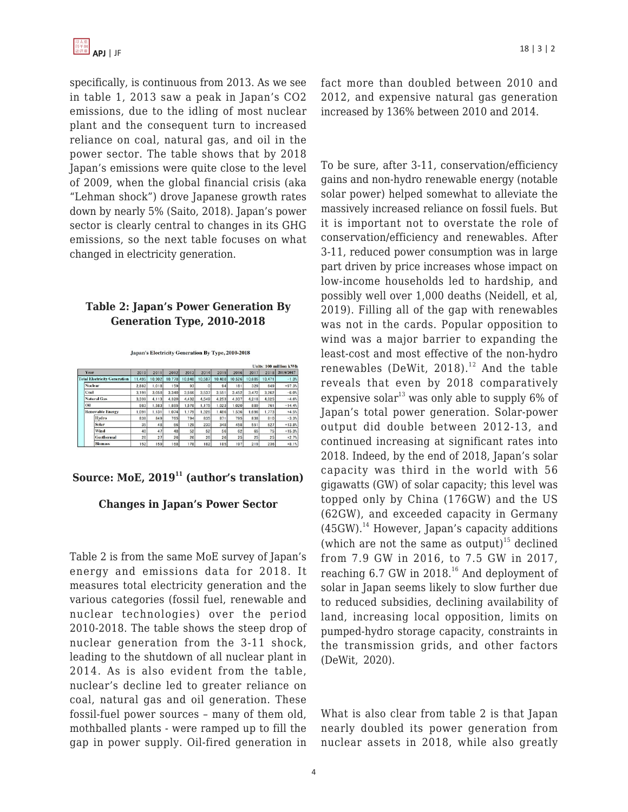specifically, is continuous from 2013. As we see in table 1, 2013 saw a peak in Japan's CO2 emissions, due to the idling of most nuclear plant and the consequent turn to increased reliance on coal, natural gas, and oil in the power sector. The table shows that by 2018 Japan's emissions were quite close to the level of 2009, when the global financial crisis (aka "Lehman shock") drove Japanese growth rates down by nearly 5% (Saito, 2018). Japan's power sector is clearly central to changes in its GHG emissions, so the next table focuses on what changed in electricity generation.

# **Table 2: Japan's Power Generation By Generation Type, 2010-2018**

Japan's Electricity Generation By Type, 2010-2018

|      |                                                       |                         |        |        |        |        |        |        |        |        | Units: 100 million kWh |           |  |
|------|-------------------------------------------------------|-------------------------|--------|--------|--------|--------|--------|--------|--------|--------|------------------------|-----------|--|
| Year |                                                       |                         | 2010   | 2011   | 2012   | 2013   | 2014   | 2015   | 2016   | 2017   | 2018                   | 2018/2017 |  |
|      | <b>Total Electricity Generation</b><br><b>Nuclear</b> |                         | 11,495 | 10.902 | 10.778 | 10.848 | 10.587 | 10.408 | 10.526 | 10.605 | 10.471                 | $-1.3%$   |  |
|      |                                                       |                         | 2.882  | 1,018  | 159    | 93     | 0      | 94     | 181    | 329    | 649                    | $+97.3%$  |  |
|      |                                                       | Coal                    |        | 3.058  | 3.340  | 3.566  | 3.537  | 3,551  | 3,452  | 3.472  | 3.262                  | $-6.0%$   |  |
|      |                                                       | <b>Natural Gas</b>      | 3.339  | 4.113  | 4.320  | 4.432  | 4.549  | 4.253  | 4.337  | 4.218  | 4.025                  | $-4.6%$   |  |
|      | Oil                                                   |                         | 983    | 1,583  | 1,885  | 1,578  | 1.175  | 1.023  | 1.020  | 889    | 761                    | $-14.4%$  |  |
|      |                                                       | <b>Renewable Energy</b> | 1.091  | 1.131  | 1.074  | 1.179  | 1.326  | 1.486  | 1,536  | 1.696  | 1.773                  | $+4.5%$   |  |
|      |                                                       | Hydro                   | 838    | 849    | 765    | 794    | 835    | 871    | 795    | 838    | 810                    | $-3.3%$   |  |
|      |                                                       | Solar                   | 35     | 48     | 66     | 129    | 230    | 348    | 458    | 551    | 627                    | $+13.8%$  |  |
|      |                                                       | Wind                    | 40     | 47     | 48     | 52     | 52     | 56     | 62     | 65     | 75                     | $+15.3%$  |  |
|      |                                                       | <b>Geothermal</b>       | 26     | 27     | 26     | 26     | 26     | 26     | 25     | 25     | 25                     | $+2.7%$   |  |
|      |                                                       | <b>Biomass</b>          | 152    | 159    | 168    | 178    | 182    | 185    | 197    | 219    | 236                    | $+8.1%$   |  |

# **Source: MoE, 2019<sup>11</sup> (author's translation)**

# **Changes in Japan's Power Sector**

Table 2 is from the same MoE survey of Japan's energy and emissions data for 2018. It measures total electricity generation and the various categories (fossil fuel, renewable and nuclear technologies) over the period 2010-2018. The table shows the steep drop of nuclear generation from the 3-11 shock, leading to the shutdown of all nuclear plant in 2014. As is also evident from the table, nuclear's decline led to greater reliance on coal, natural gas and oil generation. These fossil-fuel power sources – many of them old, mothballed plants - were ramped up to fill the gap in power supply. Oil-fired generation in

fact more than doubled between 2010 and 2012, and expensive natural gas generation increased by 136% between 2010 and 2014.

To be sure, after 3-11, conservation/efficiency gains and non-hydro renewable energy (notable solar power) helped somewhat to alleviate the massively increased reliance on fossil fuels. But it is important not to overstate the role of conservation/efficiency and renewables. After 3-11, reduced power consumption was in large part driven by price increases whose impact on low-income households led to hardship, and possibly well over 1,000 deaths (Neidell, et al, 2019). Filling all of the gap with renewables was not in the cards. Popular opposition to wind was a major barrier to expanding the least-cost and most effective of the non-hydro renewables (DeWit, 2018).<sup>12</sup> And the table reveals that even by 2018 comparatively expensive solar<sup>13</sup> was only able to supply  $6\%$  of Japan's total power generation. Solar-power output did double between 2012-13, and continued increasing at significant rates into 2018. Indeed, by the end of 2018, Japan's solar capacity was third in the world with 56 gigawatts (GW) of solar capacity; this level was topped only by China (176GW) and the US (62GW), and exceeded capacity in Germany  $(45GW).$ <sup>14</sup> However, Japan's capacity additions (which are not the same as output)<sup>15</sup> declined from 7.9 GW in 2016, to 7.5 GW in 2017, reaching 6.7 GW in 2018.<sup>16</sup> And deployment of solar in Japan seems likely to slow further due to reduced subsidies, declining availability of land, increasing local opposition, limits on pumped-hydro storage capacity, constraints in the transmission grids, and other factors (DeWit, 2020).

What is also clear from table 2 is that Japan nearly doubled its power generation from nuclear assets in 2018, while also greatly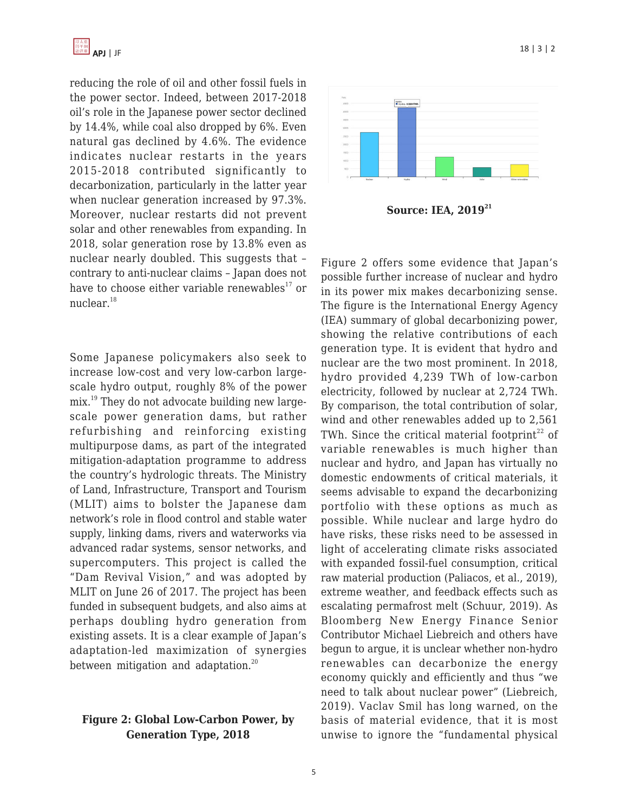

reducing the role of oil and other fossil fuels in the power sector. Indeed, between 2017-2018 oil's role in the Japanese power sector declined by 14.4%, while coal also dropped by 6%. Even natural gas declined by 4.6%. The evidence indicates nuclear restarts in the years 2015-2018 contributed significantly to decarbonization, particularly in the latter year when nuclear generation increased by 97.3%. Moreover, nuclear restarts did not prevent solar and other renewables from expanding. In 2018, solar generation rose by 13.8% even as nuclear nearly doubled. This suggests that – contrary to anti-nuclear claims – Japan does not have to choose either variable renewables $^{17}$  or nuclear.<sup>18</sup>

Some Japanese policymakers also seek to increase low-cost and very low-carbon largescale hydro output, roughly 8% of the power mix.<sup>19</sup> They do not advocate building new largescale power generation dams, but rather refurbishing and reinforcing existing multipurpose dams, as part of the integrated mitigation-adaptation programme to address the country's hydrologic threats. The Ministry of Land, Infrastructure, Transport and Tourism (MLIT) aims to bolster the Japanese dam network's role in flood control and stable water supply, linking dams, rivers and waterworks via advanced radar systems, sensor networks, and supercomputers. This project is called the "Dam Revival Vision," and was adopted by MLIT on June 26 of 2017. The project has been funded in subsequent budgets, and also aims at perhaps doubling hydro generation from existing assets. It is a clear example of Japan's adaptation-led maximization of synergies between mitigation and adaptation.<sup>20</sup>

#### **Figure 2: Global Low-Carbon Power, by Generation Type, 2018**



**Source: IEA, 2019<sup>21</sup>**

Figure 2 offers some evidence that Japan's possible further increase of nuclear and hydro in its power mix makes decarbonizing sense. The figure is the International Energy Agency (IEA) summary of global decarbonizing power, showing the relative contributions of each generation type. It is evident that hydro and nuclear are the two most prominent. In 2018, hydro provided 4,239 TWh of low-carbon electricity, followed by nuclear at 2,724 TWh. By comparison, the total contribution of solar, wind and other renewables added up to 2,561 TWh. Since the critical material footprint<sup>22</sup> of variable renewables is much higher than nuclear and hydro, and Japan has virtually no domestic endowments of critical materials, it seems advisable to expand the decarbonizing portfolio with these options as much as possible. While nuclear and large hydro do have risks, these risks need to be assessed in light of accelerating climate risks associated with expanded fossil-fuel consumption, critical raw material production (Paliacos, et al., 2019), extreme weather, and feedback effects such as escalating permafrost melt (Schuur, 2019). As Bloomberg New Energy Finance Senior Contributor Michael Liebreich and others have begun to argue, it is unclear whether non-hydro renewables can decarbonize the energy economy quickly and efficiently and thus "we need to talk about nuclear power" (Liebreich, 2019). Vaclav Smil has long warned, on the basis of material evidence, that it is most unwise to ignore the "fundamental physical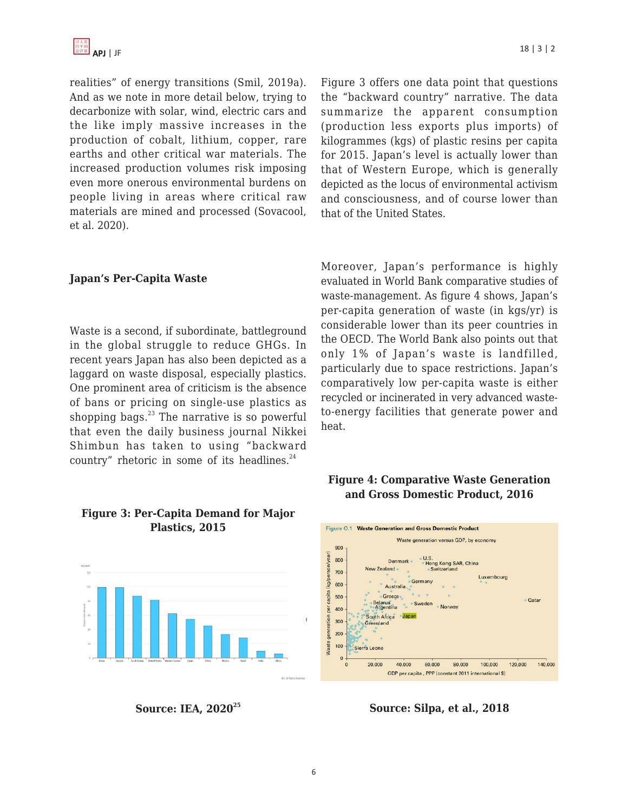realities" of energy transitions (Smil, 2019a). And as we note in more detail below, trying to decarbonize with solar, wind, electric cars and the like imply massive increases in the production of cobalt, lithium, copper, rare earths and other critical war materials. The increased production volumes risk imposing even more onerous environmental burdens on people living in areas where critical raw materials are mined and processed (Sovacool, et al. 2020).

#### **Japan's Per-Capita Waste**

Waste is a second, if subordinate, battleground in the global struggle to reduce GHGs. In recent years Japan has also been depicted as a laggard on waste disposal, especially plastics. One prominent area of criticism is the absence of bans or pricing on single-use plastics as shopping bags. $^{23}$  The narrative is so powerful that even the daily business journal Nikkei Shimbun has taken to using "backward country" rhetoric in some of its headlines. $24$ 

#### **Figure 3: Per-Capita Demand for Major Plastics, 2015**



**Source: IEA, 2020<sup>25</sup>**

Figure 3 offers one data point that questions the "backward country" narrative. The data summarize the apparent consumption (production less exports plus imports) of kilogrammes (kgs) of plastic resins per capita for 2015. Japan's level is actually lower than that of Western Europe, which is generally depicted as the locus of environmental activism and consciousness, and of course lower than that of the United States.

Moreover, Japan's performance is highly evaluated in World Bank comparative studies of waste-management. As figure 4 shows, Japan's per-capita generation of waste (in kgs/yr) is considerable lower than its peer countries in the OECD. The World Bank also points out that only 1% of Japan's waste is landfilled, particularly due to space restrictions. Japan's comparatively low per-capita waste is either recycled or incinerated in very advanced wasteto-energy facilities that generate power and heat.

# **Figure 4: Comparative Waste Generation and Gross Domestic Product, 2016**



**Source: Silpa, et al., 2018**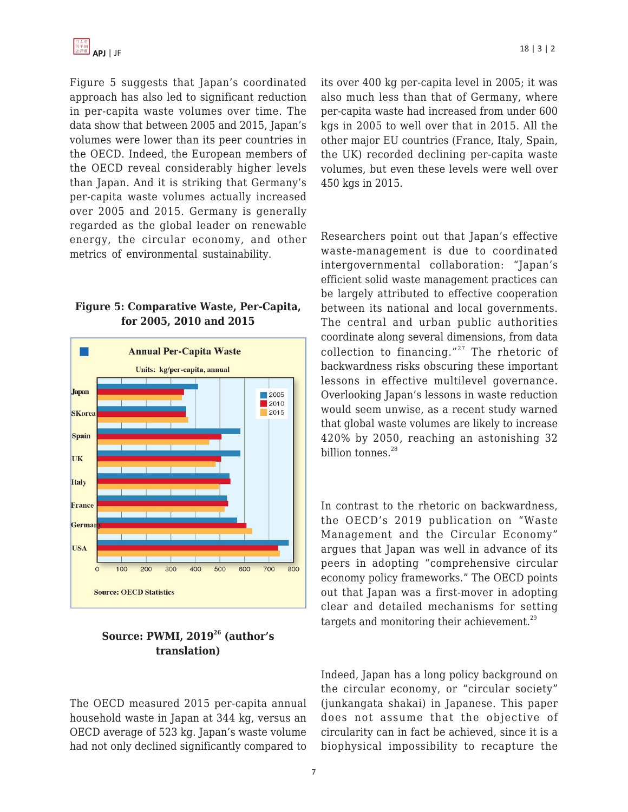Figure 5 suggests that Japan's coordinated approach has also led to significant reduction in per-capita waste volumes over time. The data show that between 2005 and 2015, Japan's volumes were lower than its peer countries in the OECD. Indeed, the European members of the OECD reveal considerably higher levels than Japan. And it is striking that Germany's per-capita waste volumes actually increased over 2005 and 2015. Germany is generally regarded as the global leader on renewable energy, the circular economy, and other metrics of environmental sustainability.

# **Figure 5: Comparative Waste, Per-Capita, for 2005, 2010 and 2015**



# **Source: PWMI, 2019<sup>26</sup> (author's translation)**

The OECD measured 2015 per-capita annual household waste in Japan at 344 kg, versus an OECD average of 523 kg. Japan's waste volume had not only declined significantly compared to its over 400 kg per-capita level in 2005; it was also much less than that of Germany, where per-capita waste had increased from under 600 kgs in 2005 to well over that in 2015. All the other major EU countries (France, Italy, Spain, the UK) recorded declining per-capita waste volumes, but even these levels were well over 450 kgs in 2015.

Researchers point out that Japan's effective waste-management is due to coordinated intergovernmental collaboration: "Japan's efficient solid waste management practices can be largely attributed to effective cooperation between its national and local governments. The central and urban public authorities coordinate along several dimensions, from data collection to financing." $27$  The rhetoric of backwardness risks obscuring these important lessons in effective multilevel governance. Overlooking Japan's lessons in waste reduction would seem unwise, as a recent study warned that global waste volumes are likely to increase 420% by 2050, reaching an astonishing 32 billion tonnes. $28$ 

In contrast to the rhetoric on backwardness, the OECD's 2019 publication on "Waste Management and the Circular Economy" argues that Japan was well in advance of its peers in adopting "comprehensive circular economy policy frameworks." The OECD points out that Japan was a first-mover in adopting clear and detailed mechanisms for setting targets and monitoring their achievement.<sup>29</sup>

Indeed, Japan has a long policy background on the circular economy, or "circular society" (junkangata shakai) in Japanese. This paper does not assume that the objective of circularity can in fact be achieved, since it is a biophysical impossibility to recapture the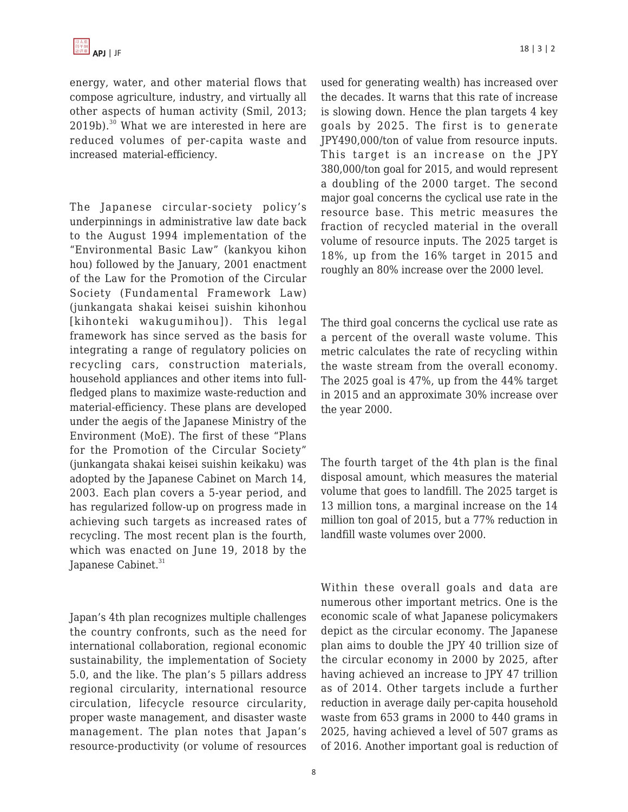energy, water, and other material flows that compose agriculture, industry, and virtually all other aspects of human activity (Smil, 2013; 2019b).<sup>30</sup> What we are interested in here are reduced volumes of per-capita waste and increased material-efficiency.

The Japanese circular-society policy's underpinnings in administrative law date back to the August 1994 implementation of the "Environmental Basic Law" (kankyou kihon hou) followed by the January, 2001 enactment of the Law for the Promotion of the Circular Society (Fundamental Framework Law) (junkangata shakai keisei suishin kihonhou [kihonteki wakugumihou]). This legal framework has since served as the basis for integrating a range of regulatory policies on recycling cars, construction materials, household appliances and other items into fullfledged plans to maximize waste-reduction and material-efficiency. These plans are developed under the aegis of the Japanese Ministry of the Environment (MoE). The first of these "Plans for the Promotion of the Circular Society" (junkangata shakai keisei suishin keikaku) was adopted by the Japanese Cabinet on March 14, 2003. Each plan covers a 5-year period, and has regularized follow-up on progress made in achieving such targets as increased rates of recycling. The most recent plan is the fourth, which was enacted on June 19, 2018 by the Japanese Cabinet.<sup>31</sup>

Japan's 4th plan recognizes multiple challenges the country confronts, such as the need for international collaboration, regional economic sustainability, the implementation of Society 5.0, and the like. The plan's 5 pillars address regional circularity, international resource circulation, lifecycle resource circularity, proper waste management, and disaster waste management. The plan notes that Japan's resource-productivity (or volume of resources used for generating wealth) has increased over the decades. It warns that this rate of increase is slowing down. Hence the plan targets 4 key goals by 2025. The first is to generate JPY490,000/ton of value from resource inputs. This target is an increase on the JPY 380,000/ton goal for 2015, and would represent a doubling of the 2000 target. The second major goal concerns the cyclical use rate in the resource base. This metric measures the fraction of recycled material in the overall volume of resource inputs. The 2025 target is 18%, up from the 16% target in 2015 and roughly an 80% increase over the 2000 level.

The third goal concerns the cyclical use rate as a percent of the overall waste volume. This metric calculates the rate of recycling within the waste stream from the overall economy. The 2025 goal is 47%, up from the 44% target in 2015 and an approximate 30% increase over the year 2000.

The fourth target of the 4th plan is the final disposal amount, which measures the material volume that goes to landfill. The 2025 target is 13 million tons, a marginal increase on the 14 million ton goal of 2015, but a 77% reduction in landfill waste volumes over 2000.

Within these overall goals and data are numerous other important metrics. One is the economic scale of what Japanese policymakers depict as the circular economy. The Japanese plan aims to double the JPY 40 trillion size of the circular economy in 2000 by 2025, after having achieved an increase to JPY 47 trillion as of 2014. Other targets include a further reduction in average daily per-capita household waste from 653 grams in 2000 to 440 grams in 2025, having achieved a level of 507 grams as of 2016. Another important goal is reduction of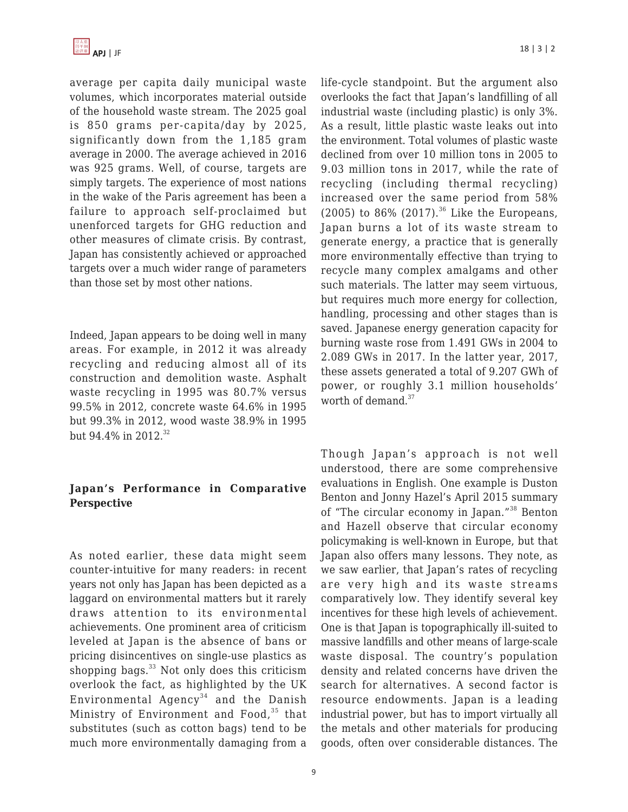average per capita daily municipal waste volumes, which incorporates material outside of the household waste stream. The 2025 goal is 850 grams per-capita/day by 2025, significantly down from the 1,185 gram average in 2000. The average achieved in 2016 was 925 grams. Well, of course, targets are simply targets. The experience of most nations in the wake of the Paris agreement has been a failure to approach self-proclaimed but unenforced targets for GHG reduction and other measures of climate crisis. By contrast, Japan has consistently achieved or approached targets over a much wider range of parameters than those set by most other nations.

Indeed, Japan appears to be doing well in many areas. For example, in 2012 it was already recycling and reducing almost all of its construction and demolition waste. Asphalt waste recycling in 1995 was 80.7% versus 99.5% in 2012, concrete waste 64.6% in 1995 but 99.3% in 2012, wood waste 38.9% in 1995 but 94.4% in 2012.<sup>32</sup>

# **Japan's Performance in Comparative Perspective**

As noted earlier, these data might seem counter-intuitive for many readers: in recent years not only has Japan has been depicted as a laggard on environmental matters but it rarely draws attention to its environmental achievements. One prominent area of criticism leveled at Japan is the absence of bans or pricing disincentives on single-use plastics as shopping bags.<sup>33</sup> Not only does this criticism overlook the fact, as highlighted by the UK Environmental Agency<sup>34</sup> and the Danish Ministry of Environment and Food, <sup>35</sup> that substitutes (such as cotton bags) tend to be much more environmentally damaging from a

life-cycle standpoint. But the argument also overlooks the fact that Japan's landfilling of all industrial waste (including plastic) is only 3%. As a result, little plastic waste leaks out into the environment. Total volumes of plastic waste declined from over 10 million tons in 2005 to 9.03 million tons in 2017, while the rate of recycling (including thermal recycling) increased over the same period from 58% (2005) to 86% (2017).<sup>36</sup> Like the Europeans, Japan burns a lot of its waste stream to generate energy, a practice that is generally more environmentally effective than trying to recycle many complex amalgams and other such materials. The latter may seem virtuous, but requires much more energy for collection, handling, processing and other stages than is saved. Japanese energy generation capacity for burning waste rose from 1.491 GWs in 2004 to 2.089 GWs in 2017. In the latter year, 2017, these assets generated a total of 9.207 GWh of power, or roughly 3.1 million households' worth of demand.<sup>37</sup>

Though Japan's approach is not well understood, there are some comprehensive evaluations in English. One example is Duston Benton and Jonny Hazel's April 2015 summary of "The circular economy in Japan."<sup>38</sup> Benton and Hazell observe that circular economy policymaking is well-known in Europe, but that Japan also offers many lessons. They note, as we saw earlier, that Japan's rates of recycling are very high and its waste streams comparatively low. They identify several key incentives for these high levels of achievement. One is that Japan is topographically ill-suited to massive landfills and other means of large-scale waste disposal. The country's population density and related concerns have driven the search for alternatives. A second factor is resource endowments. Japan is a leading industrial power, but has to import virtually all the metals and other materials for producing goods, often over considerable distances. The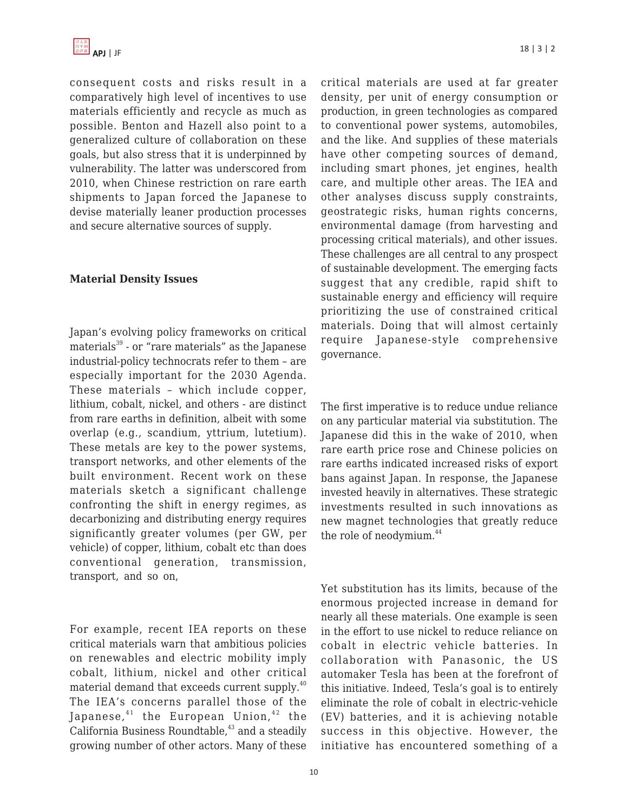

consequent costs and risks result in a comparatively high level of incentives to use materials efficiently and recycle as much as possible. Benton and Hazell also point to a generalized culture of collaboration on these goals, but also stress that it is underpinned by vulnerability. The latter was underscored from 2010, when Chinese restriction on rare earth shipments to Japan forced the Japanese to devise materially leaner production processes and secure alternative sources of supply.

#### **Material Density Issues**

Japan's evolving policy frameworks on critical materials<sup>39</sup> - or "rare materials" as the Japanese industrial-policy technocrats refer to them – are especially important for the 2030 Agenda. These materials – which include copper, lithium, cobalt, nickel, and others - are distinct from rare earths in definition, albeit with some overlap (e.g., scandium, yttrium, lutetium). These metals are key to the power systems, transport networks, and other elements of the built environment. Recent work on these materials sketch a significant challenge confronting the shift in energy regimes, as decarbonizing and distributing energy requires significantly greater volumes (per GW, per vehicle) of copper, lithium, cobalt etc than does conventional generation, transmission, transport, and so on,

For example, recent IEA reports on these critical materials warn that ambitious policies on renewables and electric mobility imply cobalt, lithium, nickel and other critical material demand that exceeds current supply.<sup>40</sup> The IEA's concerns parallel those of the Japanese, $41$  the European Union, $42$  the California Business Roundtable, $43$  and a steadily growing number of other actors. Many of these critical materials are used at far greater density, per unit of energy consumption or production, in green technologies as compared to conventional power systems, automobiles, and the like. And supplies of these materials have other competing sources of demand, including smart phones, jet engines, health care, and multiple other areas. The IEA and other analyses discuss supply constraints, geostrategic risks, human rights concerns, environmental damage (from harvesting and processing critical materials), and other issues. These challenges are all central to any prospect of sustainable development. The emerging facts suggest that any credible, rapid shift to sustainable energy and efficiency will require prioritizing the use of constrained critical materials. Doing that will almost certainly require Japanese-style comprehensive governance.

The first imperative is to reduce undue reliance on any particular material via substitution. The Japanese did this in the wake of 2010, when rare earth price rose and Chinese policies on rare earths indicated increased risks of export bans against Japan. In response, the Japanese invested heavily in alternatives. These strategic investments resulted in such innovations as new magnet technologies that greatly reduce the role of neodymium.<sup>44</sup>

Yet substitution has its limits, because of the enormous projected increase in demand for nearly all these materials. One example is seen in the effort to use nickel to reduce reliance on cobalt in electric vehicle batteries. In collaboration with Panasonic, the US automaker Tesla has been at the forefront of this initiative. Indeed, Tesla's goal is to entirely eliminate the role of cobalt in electric-vehicle (EV) batteries, and it is achieving notable success in this objective. However, the initiative has encountered something of a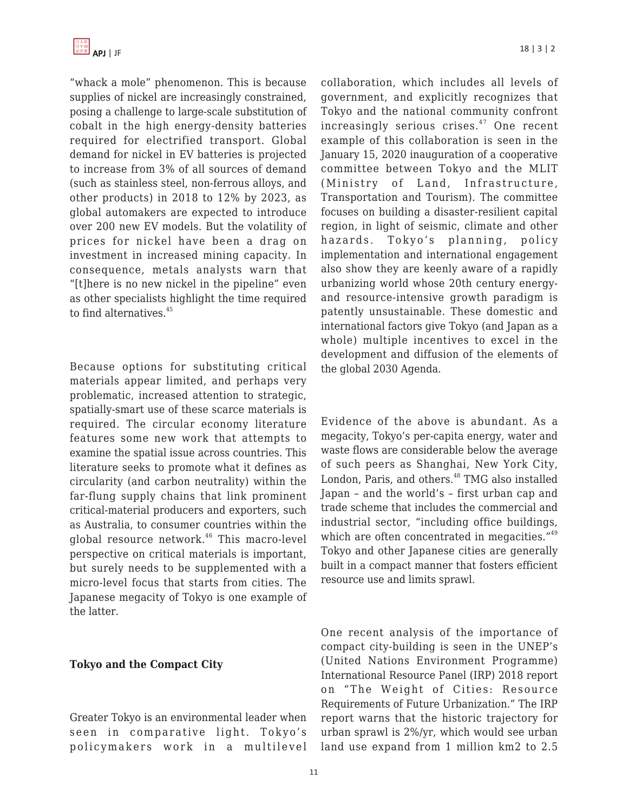"whack a mole" phenomenon. This is because supplies of nickel are increasingly constrained, posing a challenge to large-scale substitution of cobalt in the high energy-density batteries required for electrified transport. Global demand for nickel in EV batteries is projected to increase from 3% of all sources of demand (such as stainless steel, non-ferrous alloys, and other products) in 2018 to 12% by 2023, as global automakers are expected to introduce over 200 new EV models. But the volatility of prices for nickel have been a drag on investment in increased mining capacity. In consequence, metals analysts warn that "[t]here is no new nickel in the pipeline" even as other specialists highlight the time required to find alternatives.<sup>45</sup>

Because options for substituting critical materials appear limited, and perhaps very problematic, increased attention to strategic, spatially-smart use of these scarce materials is required. The circular economy literature features some new work that attempts to examine the spatial issue across countries. This literature seeks to promote what it defines as circularity (and carbon neutrality) within the far-flung supply chains that link prominent critical-material producers and exporters, such as Australia, to consumer countries within the global resource network.<sup>46</sup> This macro-level perspective on critical materials is important, but surely needs to be supplemented with a micro-level focus that starts from cities. The Japanese megacity of Tokyo is one example of the latter.

#### **Tokyo and the Compact City**

Greater Tokyo is an environmental leader when seen in comparative light. Tokyo's policymakers work in a multilevel collaboration, which includes all levels of government, and explicitly recognizes that Tokyo and the national community confront  $increasing$  increasingly serious crises.<sup>47</sup> One recent example of this collaboration is seen in the January 15, 2020 inauguration of a cooperative committee between Tokyo and the MLIT (Ministry of Land, Infrastructure, Transportation and Tourism). The committee focuses on building a disaster-resilient capital region, in light of seismic, climate and other hazards. Tokyo's planning, policy implementation and international engagement also show they are keenly aware of a rapidly urbanizing world whose 20th century energyand resource-intensive growth paradigm is patently unsustainable. These domestic and international factors give Tokyo (and Japan as a whole) multiple incentives to excel in the development and diffusion of the elements of the global 2030 Agenda.

Evidence of the above is abundant. As a megacity, Tokyo's per-capita energy, water and waste flows are considerable below the average of such peers as Shanghai, New York City, London, Paris, and others.<sup>48</sup> TMG also installed Japan – and the world's – first urban cap and trade scheme that includes the commercial and industrial sector, "including office buildings, which are often concentrated in megacities."<sup>49</sup> Tokyo and other Japanese cities are generally built in a compact manner that fosters efficient resource use and limits sprawl.

One recent analysis of the importance of compact city-building is seen in the UNEP's (United Nations Environment Programme) International Resource Panel (IRP) 2018 report on "The Weight of Cities: Resource Requirements of Future Urbanization." The IRP report warns that the historic trajectory for urban sprawl is 2%/yr, which would see urban land use expand from 1 million km2 to 2.5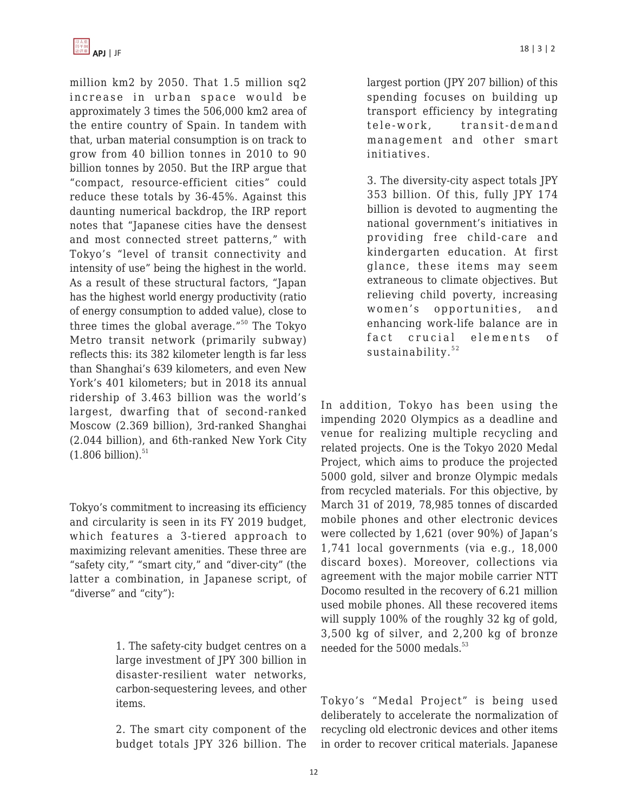million km2 by 2050. That 1.5 million sq2 increase in urban space would be approximately 3 times the 506,000 km2 area of the entire country of Spain. In tandem with that, urban material consumption is on track to grow from 40 billion tonnes in 2010 to 90 billion tonnes by 2050. But the IRP argue that "compact, resource-efficient cities" could reduce these totals by 36-45%. Against this daunting numerical backdrop, the IRP report notes that "Japanese cities have the densest and most connected street patterns," with Tokyo's "level of transit connectivity and intensity of use" being the highest in the world. As a result of these structural factors, "Japan has the highest world energy productivity (ratio of energy consumption to added value), close to three times the global average."<sup>50</sup> The Tokyo Metro transit network (primarily subway) reflects this: its 382 kilometer length is far less than Shanghai's 639 kilometers, and even New York's 401 kilometers; but in 2018 its annual ridership of 3.463 billion was the world's largest, dwarfing that of second-ranked Moscow (2.369 billion), 3rd-ranked Shanghai (2.044 billion), and 6th-ranked New York City  $(1.806 \text{ billion})$ .<sup>51</sup>

Tokyo's commitment to increasing its efficiency and circularity is seen in its FY 2019 budget, which features a 3-tiered approach to maximizing relevant amenities. These three are "safety city," "smart city," and "diver-city" (the latter a combination, in Japanese script, of "diverse" and "city"):

> 1. The safety-city budget centres on a large investment of JPY 300 billion in disaster-resilient water networks, carbon-sequestering levees, and other items.

> 2. The smart city component of the budget totals JPY 326 billion. The

largest portion (JPY 207 billion) of this spending focuses on building up transport efficiency by integrating tele-work, transit-demand management and other smart initiatives.

3. The diversity-city aspect totals JPY 353 billion. Of this, fully JPY 174 billion is devoted to augmenting the national government's initiatives in providing free child-care and kindergarten education. At first glance, these items may seem extraneous to climate objectives. But relieving child poverty, increasing women's opportunities, and enhancing work-life balance are in fact crucial elements of sustainability.<sup>52</sup>

In addition, Tokyo has been using the impending 2020 Olympics as a deadline and venue for realizing multiple recycling and related projects. One is the Tokyo 2020 Medal Project, which aims to produce the projected 5000 gold, silver and bronze Olympic medals from recycled materials. For this objective, by March 31 of 2019, 78,985 tonnes of discarded mobile phones and other electronic devices were collected by 1,621 (over 90%) of Japan's 1,741 local governments (via e.g., 18,000 discard boxes). Moreover, collections via agreement with the major mobile carrier NTT Docomo resulted in the recovery of 6.21 million used mobile phones. All these recovered items will supply 100% of the roughly 32 kg of gold, 3,500 kg of silver, and 2,200 kg of bronze needed for the  $5000$  medals.<sup>53</sup>

Tokyo's "Medal Project" is being used deliberately to accelerate the normalization of recycling old electronic devices and other items in order to recover critical materials. Japanese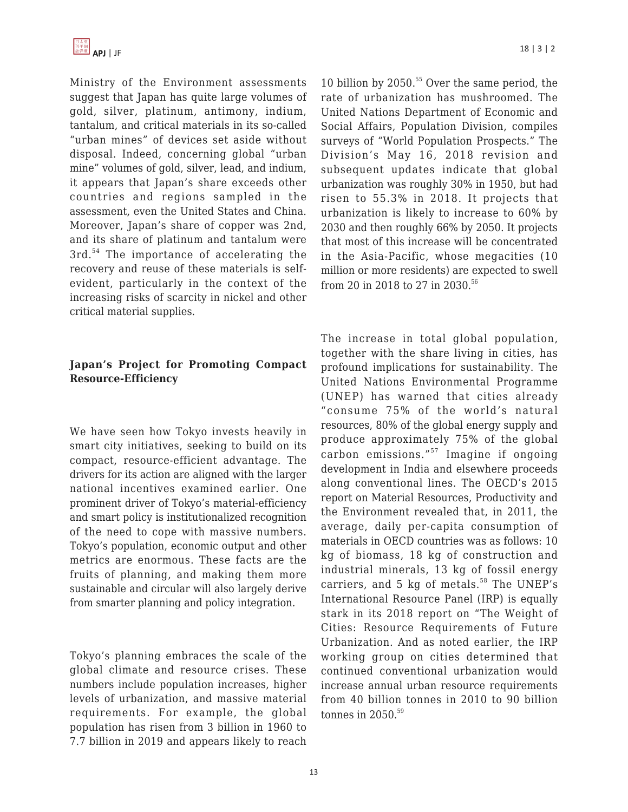

Ministry of the Environment assessments suggest that Japan has quite large volumes of gold, silver, platinum, antimony, indium, tantalum, and critical materials in its so-called "urban mines" of devices set aside without disposal. Indeed, concerning global "urban mine" volumes of gold, silver, lead, and indium, it appears that Japan's share exceeds other countries and regions sampled in the assessment, even the United States and China. Moreover, Japan's share of copper was 2nd, and its share of platinum and tantalum were 3rd. <sup>54</sup> The importance of accelerating the recovery and reuse of these materials is selfevident, particularly in the context of the increasing risks of scarcity in nickel and other critical material supplies.

# **Japan's Project for Promoting Compact Resource-Efficiency**

We have seen how Tokyo invests heavily in smart city initiatives, seeking to build on its compact, resource-efficient advantage. The drivers for its action are aligned with the larger national incentives examined earlier. One prominent driver of Tokyo's material-efficiency and smart policy is institutionalized recognition of the need to cope with massive numbers. Tokyo's population, economic output and other metrics are enormous. These facts are the fruits of planning, and making them more sustainable and circular will also largely derive from smarter planning and policy integration.

Tokyo's planning embraces the scale of the global climate and resource crises. These numbers include population increases, higher levels of urbanization, and massive material requirements. For example, the global population has risen from 3 billion in 1960 to 7.7 billion in 2019 and appears likely to reach 10 billion by 2050.<sup>55</sup> Over the same period, the rate of urbanization has mushroomed. The United Nations Department of Economic and Social Affairs, Population Division, compiles surveys of "World Population Prospects." The Division's May 16, 2018 revision and subsequent updates indicate that global urbanization was roughly 30% in 1950, but had risen to 55.3% in 2018. It projects that urbanization is likely to increase to 60% by 2030 and then roughly 66% by 2050. It projects that most of this increase will be concentrated in the Asia-Pacific, whose megacities (10 million or more residents) are expected to swell from 20 in 2018 to 27 in 2030.<sup>56</sup>

The increase in total global population, together with the share living in cities, has profound implications for sustainability. The United Nations Environmental Programme (UNEP) has warned that cities already "consume 75% of the world's natural resources, 80% of the global energy supply and produce approximately 75% of the global carbon emissions."<sup>57</sup> Imagine if ongoing development in India and elsewhere proceeds along conventional lines. The OECD's 2015 report on Material Resources, Productivity and the Environment revealed that, in 2011, the average, daily per-capita consumption of materials in OECD countries was as follows: 10 kg of biomass, 18 kg of construction and industrial minerals, 13 kg of fossil energy carriers, and  $5$  kg of metals.<sup>58</sup> The UNEP's International Resource Panel (IRP) is equally stark in its 2018 report on "The Weight of Cities: Resource Requirements of Future Urbanization. And as noted earlier, the IRP working group on cities determined that continued conventional urbanization would increase annual urban resource requirements from 40 billion tonnes in 2010 to 90 billion tonnes in  $2050$ .<sup>59</sup>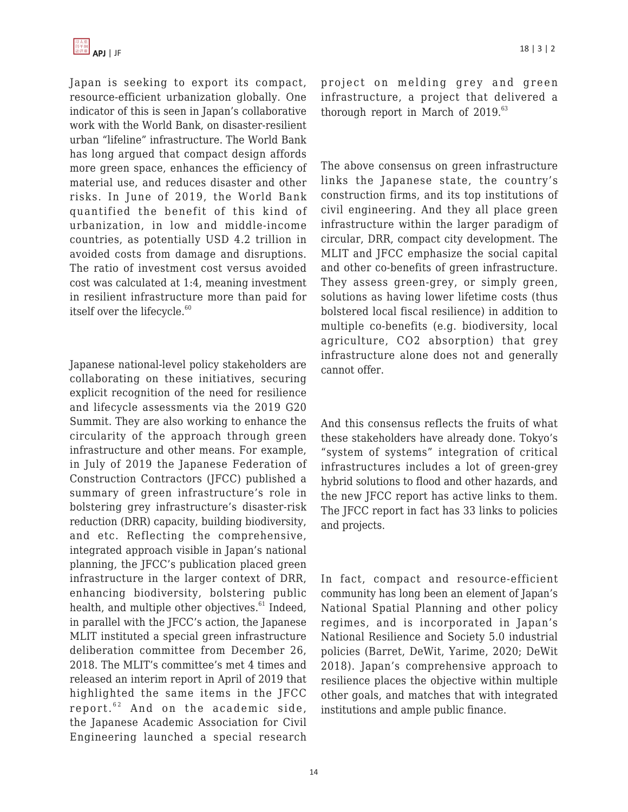Japan is seeking to export its compact, resource-efficient urbanization globally. One indicator of this is seen in Japan's collaborative work with the World Bank, on disaster-resilient urban "lifeline" infrastructure. The World Bank has long argued that compact design affords more green space, enhances the efficiency of material use, and reduces disaster and other risks. In June of 2019, the World Bank quantified the benefit of this kind of urbanization, in low and middle-income countries, as potentially USD 4.2 trillion in avoided costs from damage and disruptions. The ratio of investment cost versus avoided cost was calculated at 1:4, meaning investment in resilient infrastructure more than paid for itself over the lifecycle.<sup>60</sup>

Japanese national-level policy stakeholders are collaborating on these initiatives, securing explicit recognition of the need for resilience and lifecycle assessments via the 2019 G20 Summit. They are also working to enhance the circularity of the approach through green infrastructure and other means. For example, in July of 2019 the Japanese Federation of Construction Contractors (JFCC) published a summary of green infrastructure's role in bolstering grey infrastructure's disaster-risk reduction (DRR) capacity, building biodiversity, and etc. Reflecting the comprehensive, integrated approach visible in Japan's national planning, the JFCC's publication placed green infrastructure in the larger context of DRR, enhancing biodiversity, bolstering public health, and multiple other objectives. $61$  Indeed, in parallel with the JFCC's action, the Japanese MLIT instituted a special green infrastructure deliberation committee from December 26, 2018. The MLIT's committee's met 4 times and released an interim report in April of 2019 that highlighted the same items in the JFCC report. $62$  And on the academic side, the Japanese Academic Association for Civil Engineering launched a special research project on melding grey and green infrastructure, a project that delivered a thorough report in March of  $2019.^{63}$ 

The above consensus on green infrastructure links the Japanese state, the country's construction firms, and its top institutions of civil engineering. And they all place green infrastructure within the larger paradigm of circular, DRR, compact city development. The MLIT and JFCC emphasize the social capital and other co-benefits of green infrastructure. They assess green-grey, or simply green, solutions as having lower lifetime costs (thus bolstered local fiscal resilience) in addition to multiple co-benefits (e.g. biodiversity, local agriculture, CO2 absorption) that grey infrastructure alone does not and generally cannot offer.

And this consensus reflects the fruits of what these stakeholders have already done. Tokyo's "system of systems" integration of critical infrastructures includes a lot of green-grey hybrid solutions to flood and other hazards, and the new JFCC report has active links to them. The JFCC report in fact has 33 links to policies and projects.

In fact, compact and resource-efficient community has long been an element of Japan's National Spatial Planning and other policy regimes, and is incorporated in Japan's National Resilience and Society 5.0 industrial policies (Barret, DeWit, Yarime, 2020; DeWit 2018). Japan's comprehensive approach to resilience places the objective within multiple other goals, and matches that with integrated institutions and ample public finance.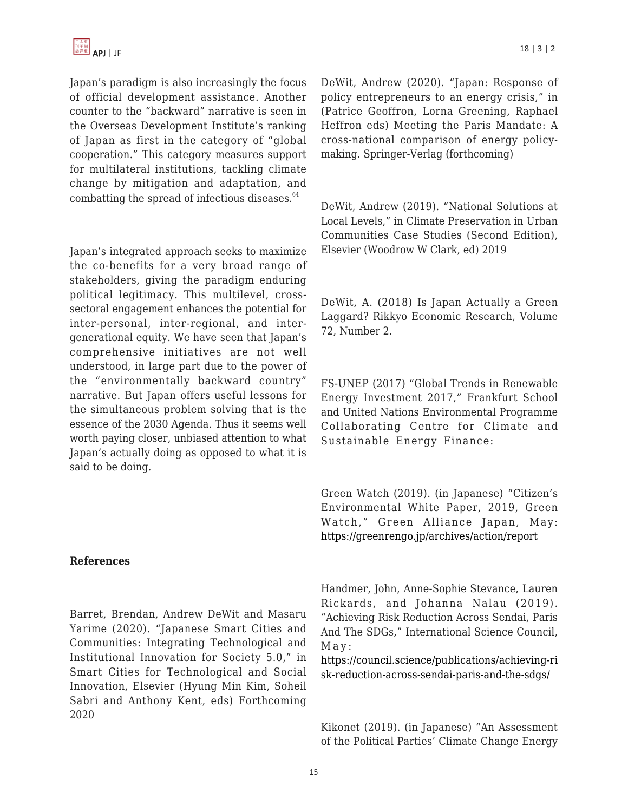Japan's paradigm is also increasingly the focus of official development assistance. Another counter to the "backward" narrative is seen in the Overseas Development Institute's ranking of Japan as first in the category of "global cooperation." This category measures support for multilateral institutions, tackling climate change by mitigation and adaptation, and combatting the spread of infectious diseases. $64$ 

Japan's integrated approach seeks to maximize the co-benefits for a very broad range of stakeholders, giving the paradigm enduring political legitimacy. This multilevel, crosssectoral engagement enhances the potential for inter-personal, inter-regional, and intergenerational equity. We have seen that Japan's comprehensive initiatives are not well understood, in large part due to the power of the "environmentally backward country" narrative. But Japan offers useful lessons for the simultaneous problem solving that is the essence of the 2030 Agenda. Thus it seems well worth paying closer, unbiased attention to what Japan's actually doing as opposed to what it is said to be doing.

# **References**

Barret, Brendan, Andrew DeWit and Masaru Yarime (2020). "Japanese Smart Cities and Communities: Integrating Technological and Institutional Innovation for Society 5.0," in Smart Cities for Technological and Social Innovation, Elsevier (Hyung Min Kim, Soheil Sabri and Anthony Kent, eds) Forthcoming 2020

DeWit, Andrew (2020). "Japan: Response of policy entrepreneurs to an energy crisis," in (Patrice Geoffron, Lorna Greening, Raphael Heffron eds) Meeting the Paris Mandate: A cross-national comparison of energy policymaking. Springer-Verlag (forthcoming)

DeWit, Andrew (2019). "National Solutions at Local Levels," in Climate Preservation in Urban Communities Case Studies (Second Edition), Elsevier (Woodrow W Clark, ed) 2019

DeWit, A. (2018) Is Japan Actually a Green Laggard? Rikkyo Economic Research, Volume 72, Number 2.

FS-UNEP (2017) "Global Trends in Renewable Energy Investment 2017," Frankfurt School and United Nations Environmental Programme Collaborating Centre for Climate and Sustainable Energy Finance:

Green Watch (2019). (in Japanese) "Citizen's Environmental White Paper, 2019, Green Watch," Green Alliance Japan, May: <https://greenrengo.jp/archives/action/report>

Handmer, John, Anne-Sophie Stevance, Lauren Rickards, and Johanna Nalau (2019). "Achieving Risk Reduction Across Sendai, Paris And The SDGs," International Science Council, May:

[https://council.science/publications/achieving-ri](https://council.science/publications/achieving-risk-reduction-across-sendai-paris-and-the-sdgs/) [sk-reduction-across-sendai-paris-and-the-sdgs/](https://council.science/publications/achieving-risk-reduction-across-sendai-paris-and-the-sdgs/)

Kikonet (2019). (in Japanese) "An Assessment of the Political Parties' Climate Change Energy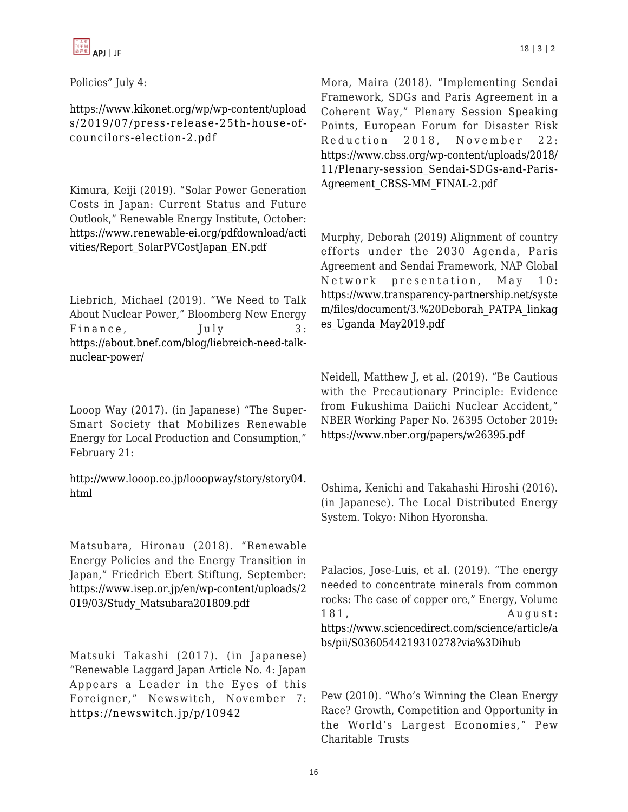Policies" July 4:

[https://www.kikonet.org/wp/wp-content/upload](https://www.kikonet.org/wp/wp-content/uploads/2019/07/press-release-25th-house-of-councilors-election-2.pdf) [s/2019/07/press-release-25th-house-of](https://www.kikonet.org/wp/wp-content/uploads/2019/07/press-release-25th-house-of-councilors-election-2.pdf)[councilors-election-2.pdf](https://www.kikonet.org/wp/wp-content/uploads/2019/07/press-release-25th-house-of-councilors-election-2.pdf)

Kimura, Keiji (2019). "Solar Power Generation Costs in Japan: Current Status and Future Outlook," Renewable Energy Institute, October: [https://www.renewable-ei.org/pdfdownload/acti](https://www.renewable-ei.org/pdfdownload/activities/Report_SolarPVCostJapan_EN.pdf) [vities/Report\\_SolarPVCostJapan\\_EN.pdf](https://www.renewable-ei.org/pdfdownload/activities/Report_SolarPVCostJapan_EN.pdf)

Liebrich, Michael (2019). "We Need to Talk About Nuclear Power," Bloomberg New Energy Finance, July 3: [https://about.bnef.com/blog/liebreich-need-talk](https://about.bnef.com/blog/liebreich-need-talk-nuclear-power/)[nuclear-power/](https://about.bnef.com/blog/liebreich-need-talk-nuclear-power/)

Looop Way (2017). (in Japanese) "The Super-Smart Society that Mobilizes Renewable Energy for Local Production and Consumption," February 21:

[http://www.looop.co.jp/looopway/story/story04.](http://www.looop.co.jp/looopway/story/story04.html) [html](http://www.looop.co.jp/looopway/story/story04.html)

Matsubara, Hironau (2018). "Renewable Energy Policies and the Energy Transition in Japan," Friedrich Ebert Stiftung, September: [https://www.isep.or.jp/en/wp-content/uploads/2](https://www.isep.or.jp/en/wp-content/uploads/2019/03/Study_Matsubara201809.pdf) [019/03/Study\\_Matsubara201809.pdf](https://www.isep.or.jp/en/wp-content/uploads/2019/03/Study_Matsubara201809.pdf)

Matsuki Takashi (2017). (in Japanese) "Renewable Laggard Japan Article No. 4: Japan Appears a Leader in the Eyes of this Foreigner," Newswitch, November 7: <https://newswitch.jp/p/10942>

Mora, Maira (2018). "Implementing Sendai Framework, SDGs and Paris Agreement in a Coherent Way," Plenary Session Speaking Points, European Forum for Disaster Risk Reduction 2018, November 22: [https://www.cbss.org/wp-content/uploads/2018/](https://www.cbss.org/wp-content/uploads/2018/11/Plenary-session_Sendai-SDGs-and-Paris-Agreement_CBSS-MM_FINAL-2.pdf) [11/Plenary-session\\_Sendai-SDGs-and-Paris-](https://www.cbss.org/wp-content/uploads/2018/11/Plenary-session_Sendai-SDGs-and-Paris-Agreement_CBSS-MM_FINAL-2.pdf)[Agreement\\_CBSS-MM\\_FINAL-2.pdf](https://www.cbss.org/wp-content/uploads/2018/11/Plenary-session_Sendai-SDGs-and-Paris-Agreement_CBSS-MM_FINAL-2.pdf)

Murphy, Deborah (2019) Alignment of country efforts under the 2030 Agenda, Paris Agreement and Sendai Framework, NAP Global Network presentation, May 10: [https://www.transparency-partnership.net/syste](https://www.transparency-partnership.net/system/files/document/3.%20Deborah_PATPA_linkages_Uganda_May2019.pdf) [m/files/document/3.%20Deborah\\_PATPA\\_linkag](https://www.transparency-partnership.net/system/files/document/3.%20Deborah_PATPA_linkages_Uganda_May2019.pdf) [es\\_Uganda\\_May2019.pdf](https://www.transparency-partnership.net/system/files/document/3.%20Deborah_PATPA_linkages_Uganda_May2019.pdf)

Neidell, Matthew J, et al. (2019). "Be Cautious with the Precautionary Principle: Evidence from Fukushima Daiichi Nuclear Accident," NBER Working Paper No. 26395 October 2019: <https://www.nber.org/papers/w26395.pdf>

Oshima, Kenichi and Takahashi Hiroshi (2016). (in Japanese). The Local Distributed Energy System. Tokyo: Nihon Hyoronsha.

Palacios, Jose-Luis, et al. (2019). "The energy needed to concentrate minerals from common rocks: The case of copper ore," Energy, Volume 181, August: [https://www.sciencedirect.com/science/article/a](https://www.sciencedirect.com/science/article/abs/pii/S0360544219310278?via%3Dihub) [bs/pii/S0360544219310278?via%3Dihub](https://www.sciencedirect.com/science/article/abs/pii/S0360544219310278?via%3Dihub)

Pew (2010). "Who's Winning the Clean Energy Race? Growth, Competition and Opportunity in the World's Largest Economies," Pew Charitable Trusts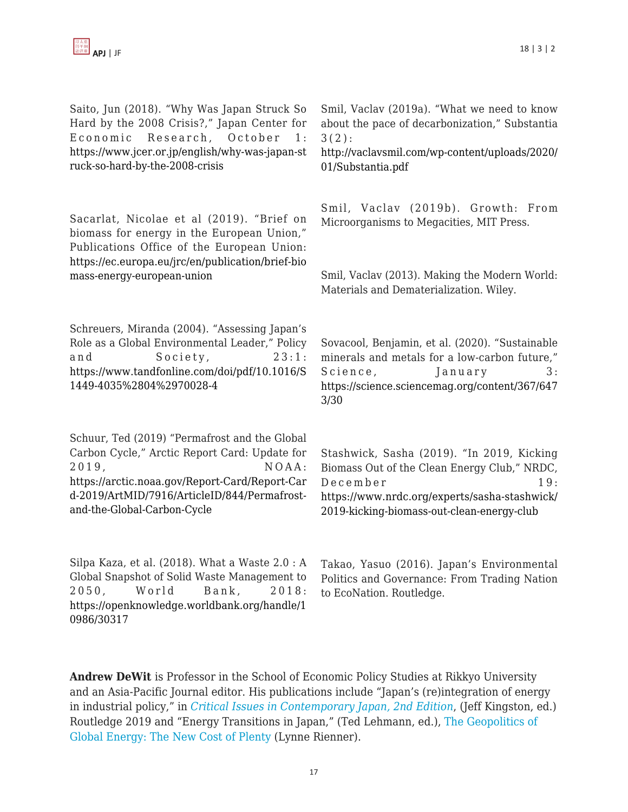Saito, Jun (2018). "Why Was Japan Struck So Hard by the 2008 Crisis?," Japan Center for Economic Research, October 1: [https://www.jcer.or.jp/english/why-was-japan-st](https://www.jcer.or.jp/english/why-was-japan-struck-so-hard-by-the-2008-crisis) [ruck-so-hard-by-the-2008-crisis](https://www.jcer.or.jp/english/why-was-japan-struck-so-hard-by-the-2008-crisis)

Sacarlat, Nicolae et al (2019). "Brief on biomass for energy in the European Union," Publications Office of the European Union: [https://ec.europa.eu/jrc/en/publication/brief-bio](https://ec.europa.eu/jrc/en/publication/brief-biomass-energy-european-union) [mass-energy-european-union](https://ec.europa.eu/jrc/en/publication/brief-biomass-energy-european-union)

Schreuers, Miranda (2004). "Assessing Japan's Role as a Global Environmental Leader," Policy and Society, 23:1: [https://www.tandfonline.com/doi/pdf/10.1016/S](https://www.tandfonline.com/doi/pdf/10.1016/S1449-4035%2804%2970028-4) [1449-4035%2804%2970028-4](https://www.tandfonline.com/doi/pdf/10.1016/S1449-4035%2804%2970028-4)

Schuur, Ted (2019) "Permafrost and the Global Carbon Cycle," Arctic Report Card: Update for 2019, NOAA: [https://arctic.noaa.gov/Report-Card/Report-Car](https://arctic.noaa.gov/Report-Card/Report-Card-2019/ArtMID/7916/ArticleID/844/Permafrost-and-the-Global-Carbon-Cycle) [d-2019/ArtMID/7916/ArticleID/844/Permafrost](https://arctic.noaa.gov/Report-Card/Report-Card-2019/ArtMID/7916/ArticleID/844/Permafrost-and-the-Global-Carbon-Cycle)[and-the-Global-Carbon-Cycle](https://arctic.noaa.gov/Report-Card/Report-Card-2019/ArtMID/7916/ArticleID/844/Permafrost-and-the-Global-Carbon-Cycle)

Silpa Kaza, et al. (2018). What a Waste 2.0 : A Global Snapshot of Solid Waste Management to 2050 , World Bank, 2018: [https://openknowledge.worldbank.org/handle/1](https://openknowledge.worldbank.org/handle/10986/30317) [0986/30317](https://openknowledge.worldbank.org/handle/10986/30317)

Smil, Vaclav (2019a). "What we need to know about the pace of decarbonization," Substantia 3(2):

[http://vaclavsmil.com/wp-content/uploads/2020/](http://vaclavsmil.com/wp-content/uploads/2020/01/Substantia.pdf) [01/Substantia.pdf](http://vaclavsmil.com/wp-content/uploads/2020/01/Substantia.pdf)

Smil, Vaclav (2019b). Growth: From Microorganisms to Megacities, MIT Press.

Smil, Vaclav (2013). Making the Modern World: Materials and Dematerialization. Wiley.

Sovacool, Benjamin, et al. (2020). "Sustainable minerals and metals for a low-carbon future," Science, January 3: [https://science.sciencemag.org/content/367/647](https://science.sciencemag.org/content/367/6473/30) [3/30](https://science.sciencemag.org/content/367/6473/30)

Stashwick, Sasha (2019). "In 2019, Kicking Biomass Out of the Clean Energy Club," NRDC, December 19: [https://www.nrdc.org/experts/sasha-stashwick/](https://www.nrdc.org/experts/sasha-stashwick/2019-kicking-biomass-out-clean-energy-club) [2019-kicking-biomass-out-clean-energy-club](https://www.nrdc.org/experts/sasha-stashwick/2019-kicking-biomass-out-clean-energy-club)

Takao, Yasuo (2016). Japan's Environmental Politics and Governance: From Trading Nation to EcoNation. Routledge.

**Andrew DeWit** is Professor in the School of Economic Policy Studies at Rikkyo University and an Asia-Pacific Journal editor. His publications include "Japan's (re)integration of energy in industrial policy," in *[Critical Issues in Contemporary Japan, 2nd Edition](https://www.routledge.com/Critical-Issues-in-Contemporary-Japan-2nd-Edition/Kingston/p/book/9780815352068)*, (Jeff Kingston, ed.) Routledge 2019 and "Energy Transitions in Japan," (Ted Lehmann, ed.), [The Geopolitics of](https://www.rienner.com/title/The_Geopolitics_of_Global_Energy_The_New_Cost_of_Plenty) [Global Energy: The New Cost of Plenty \(](https://www.rienner.com/title/The_Geopolitics_of_Global_Energy_The_New_Cost_of_Plenty)Lynne Rienner).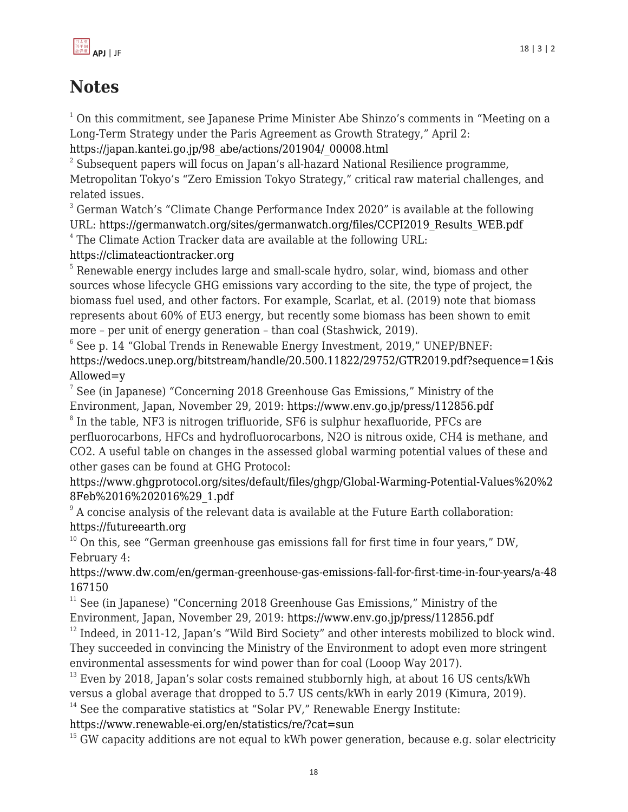

# **Notes**

 $1$  On this commitment, see Japanese Prime Minister Abe Shinzo's comments in "Meeting on a Long-Term Strategy under the Paris Agreement as Growth Strategy," April 2:

[https://japan.kantei.go.jp/98\\_abe/actions/201904/\\_00008.html](https://japan.kantei.go.jp/98_abe/actions/201904/_00008.html)

 $2^2$  Subsequent papers will focus on Japan's all-hazard National Resilience programme, Metropolitan Tokyo's "Zero Emission Tokyo Strategy," critical raw material challenges, and related issues.

<sup>3</sup> German Watch's "Climate Change Performance Index 2020" is available at the following URL: [https://germanwatch.org/sites/germanwatch.org/files/CCPI2019\\_Results\\_WEB.pdf](https://germanwatch.org/sites/germanwatch.org/files/CCPI2019_Results_WEB.pdf)

<sup>4</sup> The Climate Action Tracker data are available at the following URL:

<https://climateactiontracker.org>

<sup>5</sup> Renewable energy includes large and small-scale hydro, solar, wind, biomass and other sources whose lifecycle GHG emissions vary according to the site, the type of project, the biomass fuel used, and other factors. For example, Scarlat, et al. (2019) note that biomass represents about 60% of EU3 energy, but recently some biomass has been shown to emit more – per unit of energy generation – than coal (Stashwick, 2019).

 $6$  See p. 14 "Global Trends in Renewable Energy Investment, 2019," UNEP/BNEF: [https://wedocs.unep.org/bitstream/handle/20.500.11822/29752/GTR2019.pdf?sequence=1&is](https://wedocs.unep.org/bitstream/handle/20.500.11822/29752/GTR2019.pdf?sequence=1&isAllowed=y) [Allowed=y](https://wedocs.unep.org/bitstream/handle/20.500.11822/29752/GTR2019.pdf?sequence=1&isAllowed=y)

 $^7$  See (in Japanese) "Concerning 2018 Greenhouse Gas Emissions," Ministry of the Environment, Japan, November 29, 2019:<https://www.env.go.jp/press/112856.pdf>  $8$  In the table, NF3 is nitrogen trifluoride, SF6 is sulphur hexafluoride, PFCs are

perfluorocarbons, HFCs and hydrofluorocarbons, N2O is nitrous oxide, CH4 is methane, and CO2. A useful table on changes in the assessed global warming potential values of these and other gases can be found at GHG Protocol:

[https://www.ghgprotocol.org/sites/default/files/ghgp/Global-Warming-Potential-Values%20%2](https://www.ghgprotocol.org/sites/default/files/ghgp/Global-Warming-Potential-Values%20%28Feb%2016%202016%29_1.pdf) [8Feb%2016%202016%29\\_1.pdf](https://www.ghgprotocol.org/sites/default/files/ghgp/Global-Warming-Potential-Values%20%28Feb%2016%202016%29_1.pdf)

<sup>9</sup> A concise analysis of the relevant data is available at the Future Earth collaboration: <https://futureearth.org>

 $10$  On this, see "German greenhouse gas emissions fall for first time in four years," DW, February 4:

[https://www.dw.com/en/german-greenhouse-gas-emissions-fall-for-first-time-in-four-years/a-48](https://www.dw.com/en/german-greenhouse-gas-emissions-fall-for-first-time-in-four-years/a-48167150) [167150](https://www.dw.com/en/german-greenhouse-gas-emissions-fall-for-first-time-in-four-years/a-48167150)

 $11$  See (in Japanese) "Concerning 2018 Greenhouse Gas Emissions," Ministry of the Environment, Japan, November 29, 2019:<https://www.env.go.jp/press/112856.pdf>

 $12$  Indeed, in 2011-12, Japan's "Wild Bird Society" and other interests mobilized to block wind. They succeeded in convincing the Ministry of the Environment to adopt even more stringent environmental assessments for wind power than for coal (Looop Way 2017).

 $13$  Even by 2018, Japan's solar costs remained stubbornly high, at about 16 US cents/kWh versus a global average that dropped to 5.7 US cents/kWh in early 2019 (Kimura, 2019).  $14$  See the comparative statistics at "Solar PV," Renewable Energy Institute:

<https://www.renewable-ei.org/en/statistics/re/?cat=sun>

 $15$  GW capacity additions are not equal to kWh power generation, because e.g. solar electricity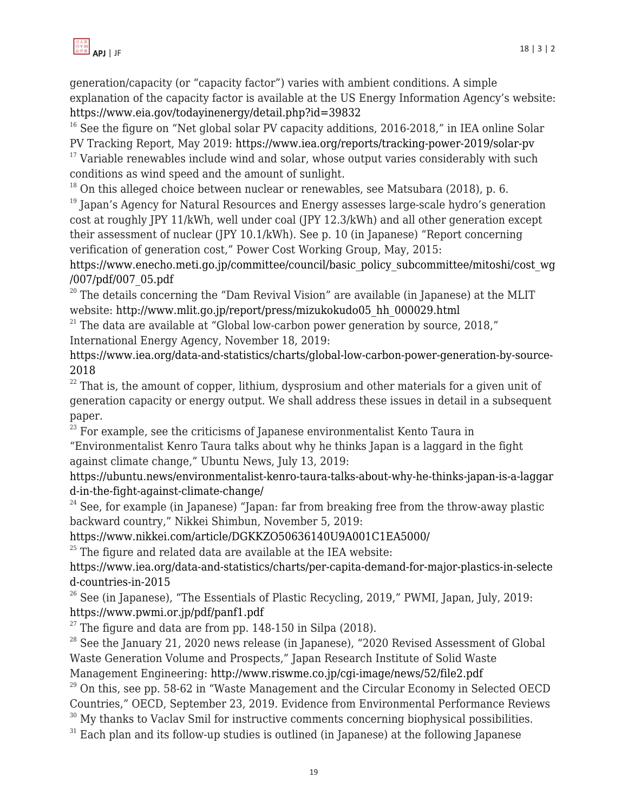

generation/capacity (or "capacity factor") varies with ambient conditions. A simple explanation of the capacity factor is available at the US Energy Information Agency's website: <https://www.eia.gov/todayinenergy/detail.php?id=39832>

 $16$  See the figure on "Net global solar PV capacity additions, 2016-2018," in IEA online Solar PV Tracking Report, May 2019: <https://www.iea.org/reports/tracking-power-2019/solar-pv>

 $17$  Variable renewables include wind and solar, whose output varies considerably with such conditions as wind speed and the amount of sunlight.

 $18$  On this alleged choice between nuclear or renewables, see Matsubara (2018), p. 6.

 $19$  Japan's Agency for Natural Resources and Energy assesses large-scale hydro's generation cost at roughly JPY 11/kWh, well under coal (JPY 12.3/kWh) and all other generation except their assessment of nuclear (JPY 10.1/kWh). See p. 10 (in Japanese) "Report concerning verification of generation cost," Power Cost Working Group, May, 2015:

[https://www.enecho.meti.go.jp/committee/council/basic\\_policy\\_subcommittee/mitoshi/cost\\_wg](https://www.enecho.meti.go.jp/committee/council/basic_policy_subcommittee/mitoshi/cost_wg/007/pdf/007_05.pdf) [/007/pdf/007\\_05.pdf](https://www.enecho.meti.go.jp/committee/council/basic_policy_subcommittee/mitoshi/cost_wg/007/pdf/007_05.pdf)

 $20$  The details concerning the "Dam Revival Vision" are available (in Japanese) at the MLIT website: [http://www.mlit.go.jp/report/press/mizukokudo05\\_hh\\_000029.html](http://www.mlit.go.jp/report/press/mizukokudo05_hh_000029.html)

 $21$ <sup>21</sup> The data are available at "Global low-carbon power generation by source, 2018," International Energy Agency, November 18, 2019:

[https://www.iea.org/data-and-statistics/charts/global-low-carbon-power-generation-by-source-](https://www.iea.org/data-and-statistics/charts/global-low-carbon-power-generation-by-source-2018)[2018](https://www.iea.org/data-and-statistics/charts/global-low-carbon-power-generation-by-source-2018)

 $22$  That is, the amount of copper, lithium, dysprosium and other materials for a given unit of generation capacity or energy output. We shall address these issues in detail in a subsequent paper.

 $23$  For example, see the criticisms of Japanese environmentalist Kento Taura in

"Environmentalist Kenro Taura talks about why he thinks Japan is a laggard in the fight against climate change," Ubuntu News, July 13, 2019:

[https://ubuntu.news/environmentalist-kenro-taura-talks-about-why-he-thinks-japan-is-a-laggar](https://ubuntu.news/environmentalist-kenro-taura-talks-about-why-he-thinks-japan-is-a-laggard-in-the-fight-against-climate-change/) [d-in-the-fight-against-climate-change/](https://ubuntu.news/environmentalist-kenro-taura-talks-about-why-he-thinks-japan-is-a-laggard-in-the-fight-against-climate-change/)

 $24$  See, for example (in Japanese) "Japan: far from breaking free from the throw-away plastic backward country," Nikkei Shimbun, November 5, 2019:

<https://www.nikkei.com/article/DGKKZO50636140U9A001C1EA5000/>

 $25$  The figure and related data are available at the IEA website:

[https://www.iea.org/data-and-statistics/charts/per-capita-demand-for-major-plastics-in-selecte](https://www.iea.org/data-and-statistics/charts/per-capita-demand-for-major-plastics-in-selected-countries-in-2015) [d-countries-in-2015](https://www.iea.org/data-and-statistics/charts/per-capita-demand-for-major-plastics-in-selected-countries-in-2015)

 $26$  See (in Japanese), "The Essentials of Plastic Recycling, 2019," PWMI, Japan, July, 2019: <https://www.pwmi.or.jp/pdf/panf1.pdf>

 $27$  The figure and data are from pp. 148-150 in Silpa (2018).

 $28$  See the January 21, 2020 news release (in Japanese), "2020 Revised Assessment of Global Waste Generation Volume and Prospects," Japan Research Institute of Solid Waste Management Engineering: <http://www.riswme.co.jp/cgi-image/news/52/file2.pdf>

 $29$  On this, see pp. 58-62 in "Waste Management and the Circular Economy in Selected OECD Countries," OECD, September 23, 2019. Evidence from Environmental Performance Reviews

 $30$  My thanks to Vaclav Smil for instructive comments concerning biophysical possibilities.

 $31$  Each plan and its follow-up studies is outlined (in Japanese) at the following Japanese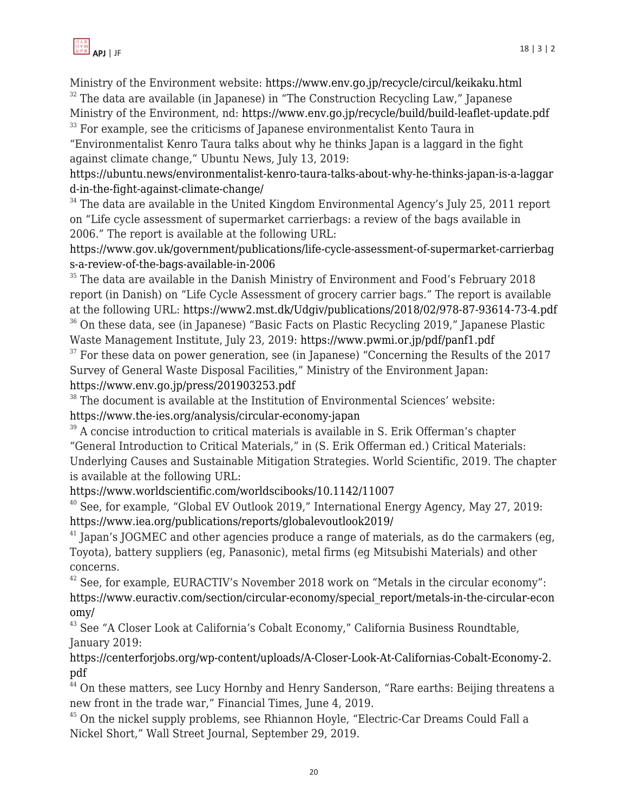Ministry of the Environment website: <https://www.env.go.jp/recycle/circul/keikaku.html>  $32$  The data are available (in Japanese) in "The Construction Recycling Law," Japanese Ministry of the Environment, nd:<https://www.env.go.jp/recycle/build/build-leaflet-update.pdf>

 $33$  For example, see the criticisms of Japanese environmentalist Kento Taura in

"Environmentalist Kenro Taura talks about why he thinks Japan is a laggard in the fight against climate change," Ubuntu News, July 13, 2019:

[https://ubuntu.news/environmentalist-kenro-taura-talks-about-why-he-thinks-japan-is-a-laggar](https://ubuntu.news/environmentalist-kenro-taura-talks-about-why-he-thinks-japan-is-a-laggard-in-the-fight-against-climate-change/) [d-in-the-fight-against-climate-change/](https://ubuntu.news/environmentalist-kenro-taura-talks-about-why-he-thinks-japan-is-a-laggard-in-the-fight-against-climate-change/)

 $34$  The data are available in the United Kingdom Environmental Agency's July 25, 2011 report on "Life cycle assessment of supermarket carrierbags: a review of the bags available in 2006." The report is available at the following URL:

[https://www.gov.uk/government/publications/life-cycle-assessment-of-supermarket-carrierbag](https://www.gov.uk/government/publications/life-cycle-assessment-of-supermarket-carrierbags-a-review-of-the-bags-available-in-2006) [s-a-review-of-the-bags-available-in-2006](https://www.gov.uk/government/publications/life-cycle-assessment-of-supermarket-carrierbags-a-review-of-the-bags-available-in-2006)

<sup>35</sup> The data are available in the Danish Ministry of Environment and Food's February 2018 report (in Danish) on "Life Cycle Assessment of grocery carrier bags." The report is available at the following URL: <https://www2.mst.dk/Udgiv/publications/2018/02/978-87-93614-73-4.pdf> <sup>36</sup> On these data, see (in Japanese) "Basic Facts on Plastic Recycling 2019," Japanese Plastic

Waste Management Institute, July 23, 2019:<https://www.pwmi.or.jp/pdf/panf1.pdf>

 $37$  For these data on power generation, see (in Japanese) "Concerning the Results of the 2017 Survey of General Waste Disposal Facilities," Ministry of the Environment Japan: <https://www.env.go.jp/press/201903253.pdf>

<sup>38</sup> The document is available at the Institution of Environmental Sciences' website: <https://www.the-ies.org/analysis/circular-economy-japan>

 $39$  A concise introduction to critical materials is available in S. Erik Offerman's chapter "General Introduction to Critical Materials," in (S. Erik Offerman ed.) Critical Materials: Underlying Causes and Sustainable Mitigation Strategies. World Scientific, 2019. The chapter is available at the following URL:

<https://www.worldscientific.com/worldscibooks/10.1142/11007>

 $40$  See, for example, "Global EV Outlook 2019," International Energy Agency, May 27, 2019: <https://www.iea.org/publications/reports/globalevoutlook2019/>

 $41$  Japan's JOGMEC and other agencies produce a range of materials, as do the carmakers (eg, Toyota), battery suppliers (eg, Panasonic), metal firms (eg Mitsubishi Materials) and other concerns.

 $42$  See, for example, EURACTIV's November 2018 work on "Metals in the circular economy": [https://www.euractiv.com/section/circular-economy/special\\_report/metals-in-the-circular-econ](https://www.euractiv.com/section/circular-economy/special_report/metals-in-the-circular-economy/) [omy/](https://www.euractiv.com/section/circular-economy/special_report/metals-in-the-circular-economy/)

<sup>43</sup> See "A Closer Look at California's Cobalt Economy," California Business Roundtable, January 2019:

[https://centerforjobs.org/wp-content/uploads/A-Closer-Look-At-Californias-Cobalt-Economy-2.](https://centerforjobs.org/wp-content/uploads/A-Closer-Look-At-Californias-Cobalt-Economy-2.pdf) [pdf](https://centerforjobs.org/wp-content/uploads/A-Closer-Look-At-Californias-Cobalt-Economy-2.pdf)

<sup>44</sup> On these matters, see Lucy Hornby and Henry Sanderson, "Rare earths: Beijing threatens a new front in the trade war," Financial Times, June 4, 2019.

 $45$  On the nickel supply problems, see Rhiannon Hoyle, "Electric-Car Dreams Could Fall a Nickel Short," Wall Street Journal, September 29, 2019.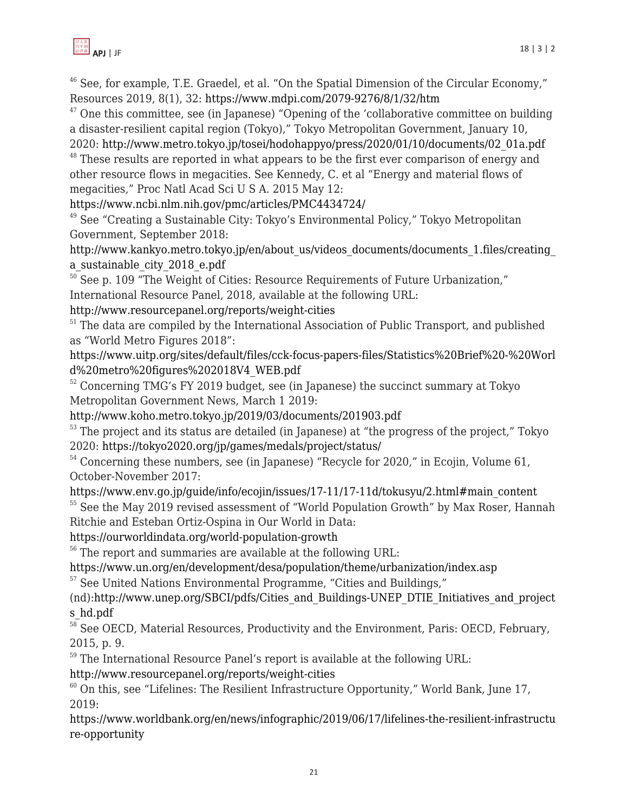

 $46$  See, for example, T.E. Graedel, et al. "On the Spatial Dimension of the Circular Economy," Resources 2019, 8(1), 32:<https://www.mdpi.com/2079-9276/8/1/32/htm>

 $47$  One this committee, see (in Japanese) "Opening of the 'collaborative committee on building a disaster-resilient capital region (Tokyo)," Tokyo Metropolitan Government, January 10,

2020: [http://www.metro.tokyo.jp/tosei/hodohappyo/press/2020/01/10/documents/02\\_01a.pdf](http://www.metro.tokyo.jp/tosei/hodohappyo/press/2020/01/10/documents/02_01a.pdf)  $48$  These results are reported in what appears to be the first ever comparison of energy and other resource flows in megacities. See Kennedy, C. et al "Energy and material flows of megacities," Proc Natl Acad Sci U S A. 2015 May 12:

<https://www.ncbi.nlm.nih.gov/pmc/articles/PMC4434724/>

<sup>49</sup> See "Creating a Sustainable City: Tokyo's Environmental Policy," Tokyo Metropolitan Government, September 2018:

http://www.kankyo.metro.tokyo.jp/en/about\_us/videos\_documents/documents\_1.files/creating [a\\_sustainable\\_city\\_2018\\_e.pdf](http://www.kankyo.metro.tokyo.jp/en/about_us/videos_documents/documents_1.files/creating_a_sustainable_city_2018_e.pdf)

 $50$  See p. 109 "The Weight of Cities: Resource Requirements of Future Urbanization," International Resource Panel, 2018, available at the following URL:

<http://www.resourcepanel.org/reports/weight-cities>

 $51$  The data are compiled by the International Association of Public Transport, and published as "World Metro Figures 2018":

[https://www.uitp.org/sites/default/files/cck-focus-papers-files/Statistics%20Brief%20-%20Worl](https://www.uitp.org/sites/default/files/cck-focus-papers-files/Statistics%20Brief%20-%20World%20metro%20figures%202018V4_WEB.pdf) [d%20metro%20figures%202018V4\\_WEB.pdf](https://www.uitp.org/sites/default/files/cck-focus-papers-files/Statistics%20Brief%20-%20World%20metro%20figures%202018V4_WEB.pdf)

 $52$  Concerning TMG's FY 2019 budget, see (in Japanese) the succinct summary at Tokyo Metropolitan Government News, March 1 2019:

<http://www.koho.metro.tokyo.jp/2019/03/documents/201903.pdf>

 $53$  The project and its status are detailed (in Japanese) at "the progress of the project," Tokyo 2020: <https://tokyo2020.org/jp/games/medals/project/status/>

<sup>54</sup> Concerning these numbers, see (in Japanese) "Recycle for 2020," in Ecojin, Volume 61, October-November 2017:

[https://www.env.go.jp/guide/info/ecojin/issues/17-11/17-11d/tokusyu/2.html#main\\_content](https://www.env.go.jp/guide/info/ecojin/issues/17-11/17-11d/tokusyu/2.html#main_content)

<sup>55</sup> See the May 2019 revised assessment of "World Population Growth" by Max Roser, Hannah Ritchie and Esteban Ortiz-Ospina in Our World in Data:

<https://ourworldindata.org/world-population-growth>

<sup>56</sup> The report and summaries are available at the following URL:

<https://www.un.org/en/development/desa/population/theme/urbanization/index.asp>

<sup>57</sup> See United Nations Environmental Programme, "Cities and Buildings,"

(nd):[http://www.unep.org/SBCI/pdfs/Cities\\_and\\_Buildings-UNEP\\_DTIE\\_Initiatives\\_and\\_project](http://www.unep.org/SBCI/pdfs/Cities_and_Buildings-UNEP_DTIE_Initiatives_and_projects_hd.pdf) [s\\_hd.pdf](http://www.unep.org/SBCI/pdfs/Cities_and_Buildings-UNEP_DTIE_Initiatives_and_projects_hd.pdf)

 $58$  See OECD, Material Resources, Productivity and the Environment, Paris: OECD, February, 2015, p. 9.

<sup>59</sup> The International Resource Panel's report is available at the following URL:

[http://www.resourcepanel.org/reports/weight-cities](https://apjjf.org/admin/site_manage/details/The%20International Resource Panel’s report is available at the following URL: http:/www.resourcepanel.org/reports/weight-cities)

 $60$  On this, see "Lifelines: The Resilient Infrastructure Opportunity," World Bank, June 17, 2019:

[https://www.worldbank.org/en/news/infographic/2019/06/17/lifelines-the-resilient-infrastructu](https://www.worldbank.org/en/news/infographic/2019/06/17/lifelines-the-resilient-infrastructure-opportunity) [re-opportunity](https://www.worldbank.org/en/news/infographic/2019/06/17/lifelines-the-resilient-infrastructure-opportunity)